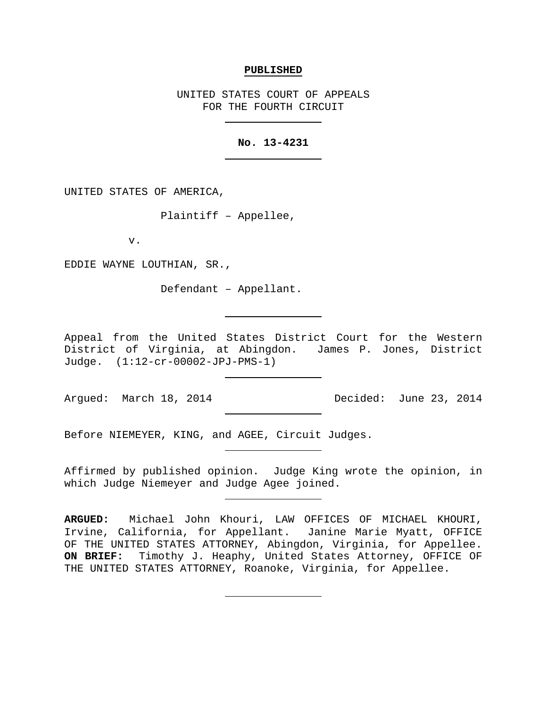#### **PUBLISHED**

UNITED STATES COURT OF APPEALS FOR THE FOURTH CIRCUIT

## **No. 13-4231**

UNITED STATES OF AMERICA,

Plaintiff – Appellee,

v.

EDDIE WAYNE LOUTHIAN, SR.,

Defendant – Appellant.

Appeal from the United States District Court for the Western District of Virginia, at Abingdon. James P. Jones, District Judge. (1:12-cr-00002-JPJ-PMS-1)

Argued: March 18, 2014 Quantity Decided: June 23, 2014

Before NIEMEYER, KING, and AGEE, Circuit Judges.

Affirmed by published opinion. Judge King wrote the opinion, in which Judge Niemeyer and Judge Agee joined.

**ARGUED:** Michael John Khouri, LAW OFFICES OF MICHAEL KHOURI, Irvine, California, for Appellant. Janine Marie Myatt, OFFICE OF THE UNITED STATES ATTORNEY, Abingdon, Virginia, for Appellee.<br>**ON BRIEF:** Timothy J. Heaphy, United States Attorney, OFFICE OF Timothy J. Heaphy, United States Attorney, OFFICE OF THE UNITED STATES ATTORNEY, Roanoke, Virginia, for Appellee.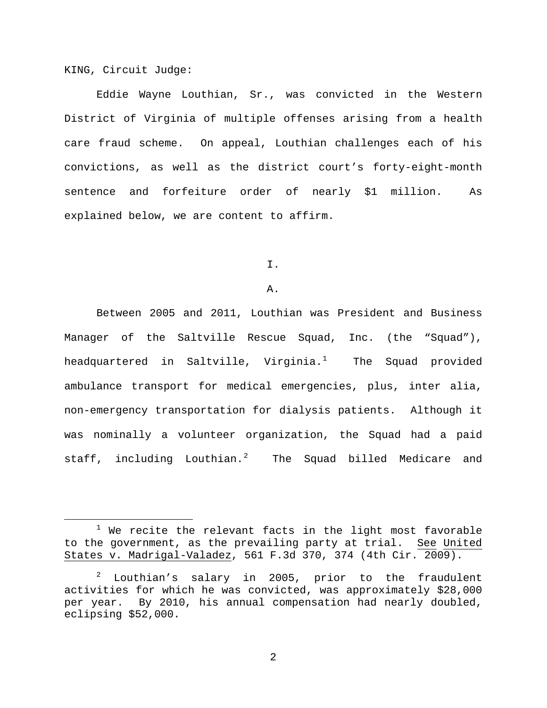KING, Circuit Judge:

Eddie Wayne Louthian, Sr., was convicted in the Western District of Virginia of multiple offenses arising from a health care fraud scheme. On appeal, Louthian challenges each of his convictions, as well as the district court's forty-eight-month sentence and forfeiture order of nearly \$1 million. As explained below, we are content to affirm.

I.

## A.

Between 2005 and 2011, Louthian was President and Business Manager of the Saltville Rescue Squad, Inc. (the "Squad"), headquartered in Saltville, Virginia.<sup>[1](#page-1-0)</sup> The Squad provided ambulance transport for medical emergencies, plus, inter alia, non-emergency transportation for dialysis patients. Although it was nominally a volunteer organization, the Squad had a paid  $\texttt{staff}$ , including Louthian. $^2$  $^2$  The Squad billed Medicare and

<span id="page-1-0"></span> $1$  We recite the relevant facts in the light most favorable to the government, as the prevailing party at trial. See United States v. Madrigal-Valadez, 561 F.3d 370, 374 (4th Cir. 2009).

<span id="page-1-1"></span><sup>2</sup> Louthian's salary in 2005, prior to the fraudulent activities for which he was convicted, was approximately \$28,000 per year. By 2010, his annual compensation had nearly doubled, eclipsing \$52,000.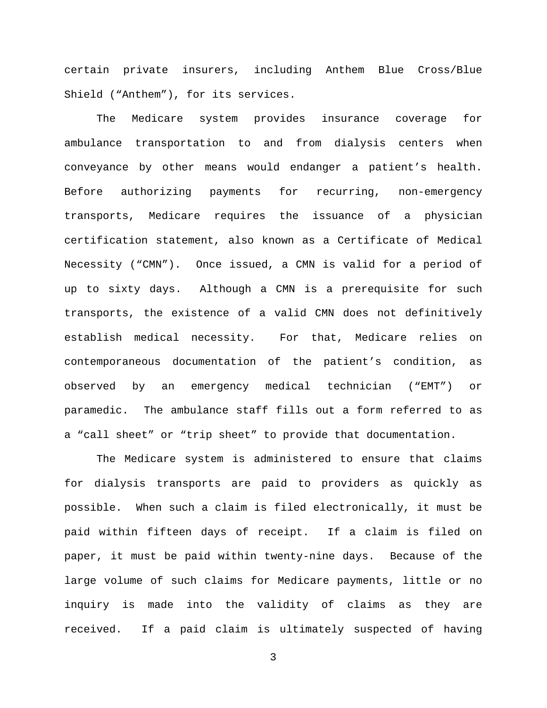certain private insurers, including Anthem Blue Cross/Blue Shield ("Anthem"), for its services.

The Medicare system provides insurance coverage for ambulance transportation to and from dialysis centers when conveyance by other means would endanger a patient's health. Before authorizing payments for recurring, non-emergency transports, Medicare requires the issuance of a physician certification statement, also known as a Certificate of Medical Necessity ("CMN"). Once issued, a CMN is valid for a period of up to sixty days. Although a CMN is a prerequisite for such transports, the existence of a valid CMN does not definitively establish medical necessity. For that, Medicare relies on contemporaneous documentation of the patient's condition, as observed by an emergency medical technician ("EMT") or paramedic. The ambulance staff fills out a form referred to as a "call sheet" or "trip sheet" to provide that documentation.

The Medicare system is administered to ensure that claims for dialysis transports are paid to providers as quickly as possible. When such a claim is filed electronically, it must be paid within fifteen days of receipt. If a claim is filed on paper, it must be paid within twenty-nine days. Because of the large volume of such claims for Medicare payments, little or no inquiry is made into the validity of claims as they are received. If a paid claim is ultimately suspected of having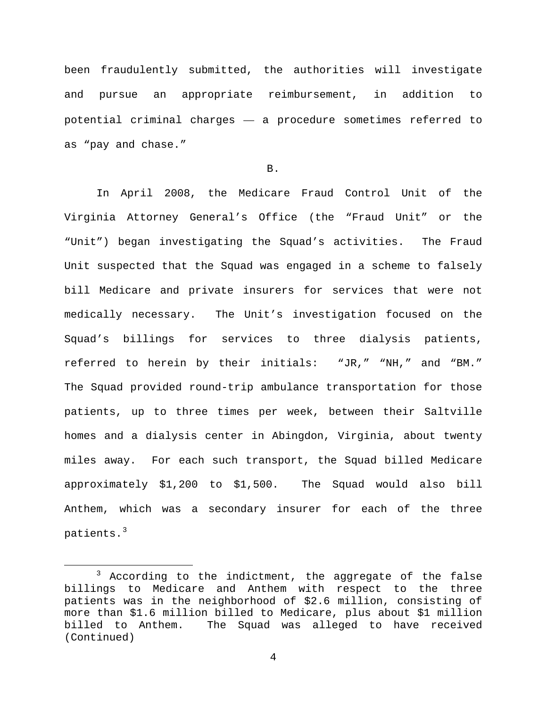been fraudulently submitted, the authorities will investigate and pursue an appropriate reimbursement, in addition to potential criminal charges — a procedure sometimes referred to as "pay and chase."

B.

In April 2008, the Medicare Fraud Control Unit of the Virginia Attorney General's Office (the "Fraud Unit" or the "Unit") began investigating the Squad's activities. The Fraud Unit suspected that the Squad was engaged in a scheme to falsely bill Medicare and private insurers for services that were not medically necessary. The Unit's investigation focused on the Squad's billings for services to three dialysis patients, referred to herein by their initials: "JR," "NH," and "BM." The Squad provided round-trip ambulance transportation for those patients, up to three times per week, between their Saltville homes and a dialysis center in Abingdon, Virginia, about twenty miles away. For each such transport, the Squad billed Medicare approximately \$1,200 to \$1,500. The Squad would also bill Anthem, which was a secondary insurer for each of the three patients.[3](#page-3-0)

<span id="page-3-0"></span> $3$  According to the indictment, the aggregate of the false billings to Medicare and Anthem with respect to the three patients was in the neighborhood of \$2.6 million, consisting of more than \$1.6 million billed to Medicare, plus about \$1 million billed to Anthem. The Squad was alleged to have received (Continued)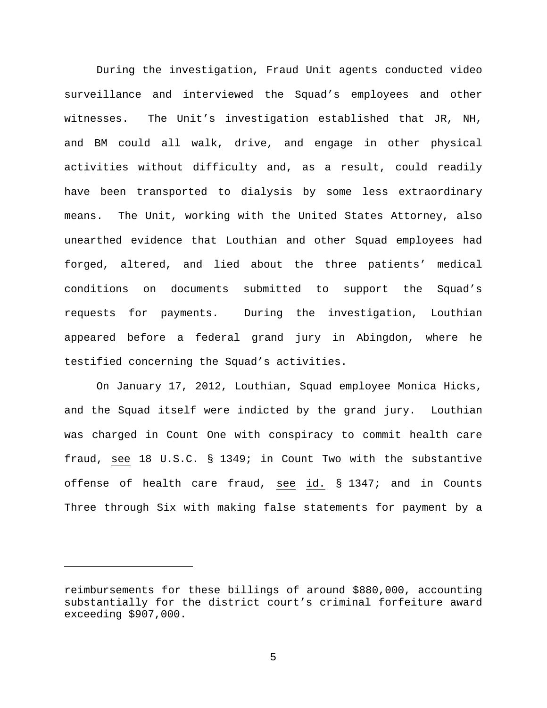During the investigation, Fraud Unit agents conducted video surveillance and interviewed the Squad's employees and other witnesses. The Unit's investigation established that JR, NH, and BM could all walk, drive, and engage in other physical activities without difficulty and, as a result, could readily have been transported to dialysis by some less extraordinary means. The Unit, working with the United States Attorney, also unearthed evidence that Louthian and other Squad employees had forged, altered, and lied about the three patients' medical conditions on documents submitted to support the Squad's requests for payments. During the investigation, Louthian appeared before a federal grand jury in Abingdon, where he testified concerning the Squad's activities.

On January 17, 2012, Louthian, Squad employee Monica Hicks, and the Squad itself were indicted by the grand jury. Louthian was charged in Count One with conspiracy to commit health care fraud, see 18 U.S.C. § 1349; in Count Two with the substantive offense of health care fraud, see id. § 1347; and in Counts Three through Six with making false statements for payment by a

Ĩ.

reimbursements for these billings of around \$880,000, accounting substantially for the district court's criminal forfeiture award exceeding \$907,000.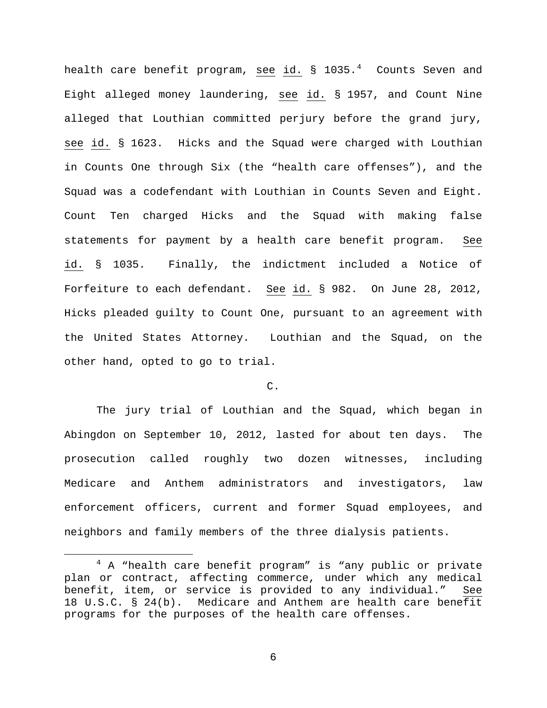health care benefit program, see id.  $\S$  1035.<sup>[4](#page-5-0)</sup> Counts Seven and Eight alleged money laundering, see id. § 1957, and Count Nine alleged that Louthian committed perjury before the grand jury, see id. § 1623. Hicks and the Squad were charged with Louthian in Counts One through Six (the "health care offenses"), and the Squad was a codefendant with Louthian in Counts Seven and Eight. Count Ten charged Hicks and the Squad with making false statements for payment by a health care benefit program. See id. § 1035. Finally, the indictment included a Notice of Forfeiture to each defendant. See id. § 982. On June 28, 2012, Hicks pleaded guilty to Count One, pursuant to an agreement with the United States Attorney. Louthian and the Squad, on the other hand, opted to go to trial.

# C.

The jury trial of Louthian and the Squad, which began in Abingdon on September 10, 2012, lasted for about ten days. The prosecution called roughly two dozen witnesses, including Medicare and Anthem administrators and investigators, law enforcement officers, current and former Squad employees, and neighbors and family members of the three dialysis patients.

<span id="page-5-0"></span><sup>&</sup>lt;sup>4</sup> A "health care benefit program" is "any public or private plan or contract, affecting commerce, under which any medical benefit, item, or service is provided to any individual." See 18 U.S.C. § 24(b). Medicare and Anthem are health care benefit programs for the purposes of the health care offenses.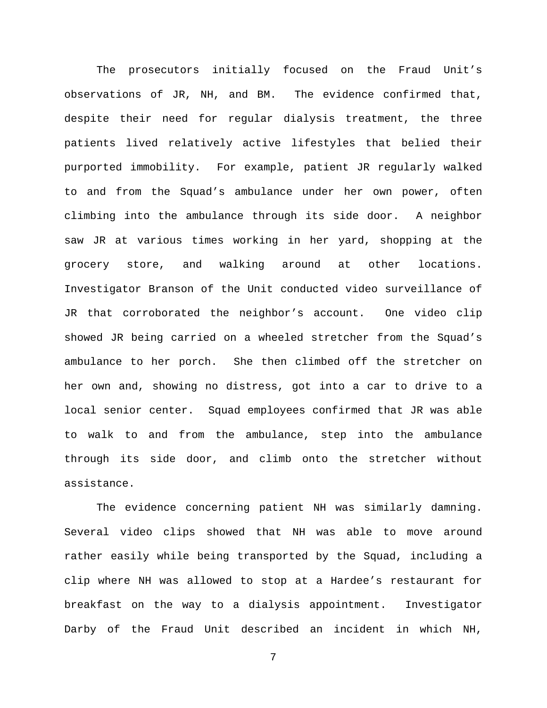The prosecutors initially focused on the Fraud Unit's observations of JR, NH, and BM. The evidence confirmed that, despite their need for regular dialysis treatment, the three patients lived relatively active lifestyles that belied their purported immobility. For example, patient JR regularly walked to and from the Squad's ambulance under her own power, often climbing into the ambulance through its side door. A neighbor saw JR at various times working in her yard, shopping at the grocery store, and walking around at other locations. Investigator Branson of the Unit conducted video surveillance of JR that corroborated the neighbor's account. One video clip showed JR being carried on a wheeled stretcher from the Squad's ambulance to her porch. She then climbed off the stretcher on her own and, showing no distress, got into a car to drive to a local senior center. Squad employees confirmed that JR was able to walk to and from the ambulance, step into the ambulance through its side door, and climb onto the stretcher without assistance.

The evidence concerning patient NH was similarly damning. Several video clips showed that NH was able to move around rather easily while being transported by the Squad, including a clip where NH was allowed to stop at a Hardee's restaurant for breakfast on the way to a dialysis appointment. Investigator Darby of the Fraud Unit described an incident in which NH,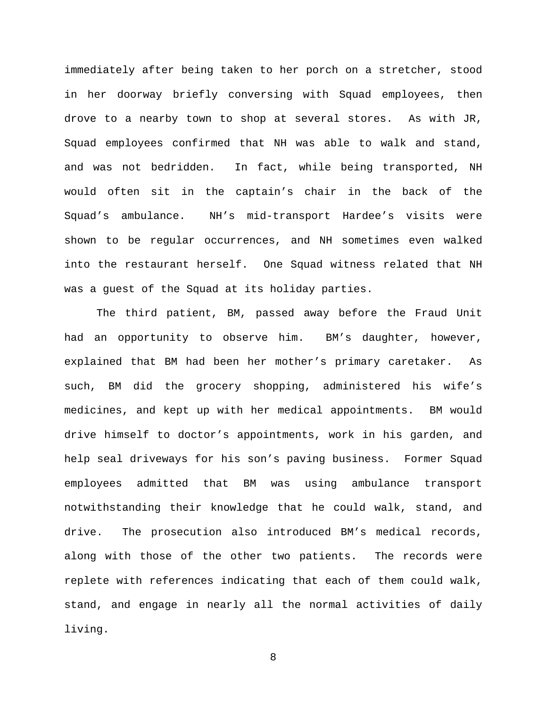immediately after being taken to her porch on a stretcher, stood in her doorway briefly conversing with Squad employees, then drove to a nearby town to shop at several stores. As with JR, Squad employees confirmed that NH was able to walk and stand, and was not bedridden. In fact, while being transported, NH would often sit in the captain's chair in the back of the Squad's ambulance. NH's mid-transport Hardee's visits were shown to be regular occurrences, and NH sometimes even walked into the restaurant herself. One Squad witness related that NH was a guest of the Squad at its holiday parties.

The third patient, BM, passed away before the Fraud Unit had an opportunity to observe him. BM's daughter, however, explained that BM had been her mother's primary caretaker. As such, BM did the grocery shopping, administered his wife's medicines, and kept up with her medical appointments. BM would drive himself to doctor's appointments, work in his garden, and help seal driveways for his son's paving business. Former Squad employees admitted that BM was using ambulance transport notwithstanding their knowledge that he could walk, stand, and drive. The prosecution also introduced BM's medical records, along with those of the other two patients. The records were replete with references indicating that each of them could walk, stand, and engage in nearly all the normal activities of daily living.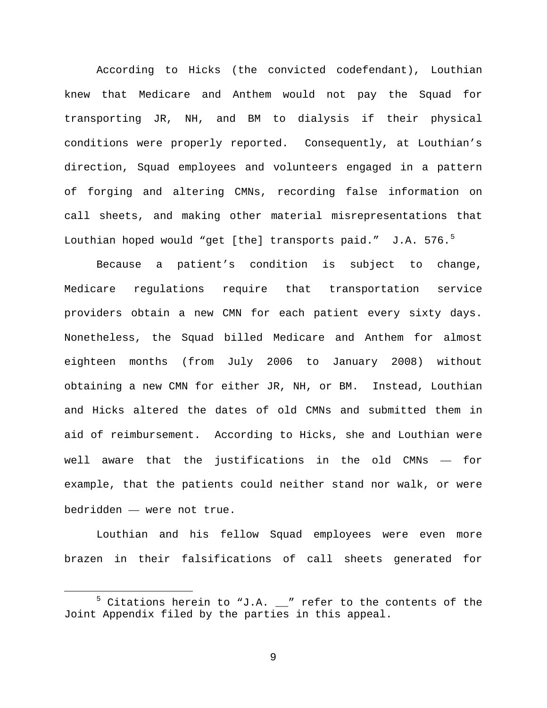According to Hicks (the convicted codefendant), Louthian knew that Medicare and Anthem would not pay the Squad for transporting JR, NH, and BM to dialysis if their physical conditions were properly reported. Consequently, at Louthian's direction, Squad employees and volunteers engaged in a pattern of forging and altering CMNs, recording false information on call sheets, and making other material misrepresentations that Louthian hoped would "get [the] transports paid." J.A. [5](#page-8-0)76.<sup>5</sup>

Because a patient's condition is subject to change, Medicare regulations require that transportation service providers obtain a new CMN for each patient every sixty days. Nonetheless, the Squad billed Medicare and Anthem for almost eighteen months (from July 2006 to January 2008) without obtaining a new CMN for either JR, NH, or BM. Instead, Louthian and Hicks altered the dates of old CMNs and submitted them in aid of reimbursement. According to Hicks, she and Louthian were well aware that the justifications in the old CMNs — for example, that the patients could neither stand nor walk, or were bedridden — were not true.

Louthian and his fellow Squad employees were even more brazen in their falsifications of call sheets generated for

<span id="page-8-0"></span> $5$  Citations herein to "J.A.  $\mu$ " refer to the contents of the Joint Appendix filed by the parties in this appeal.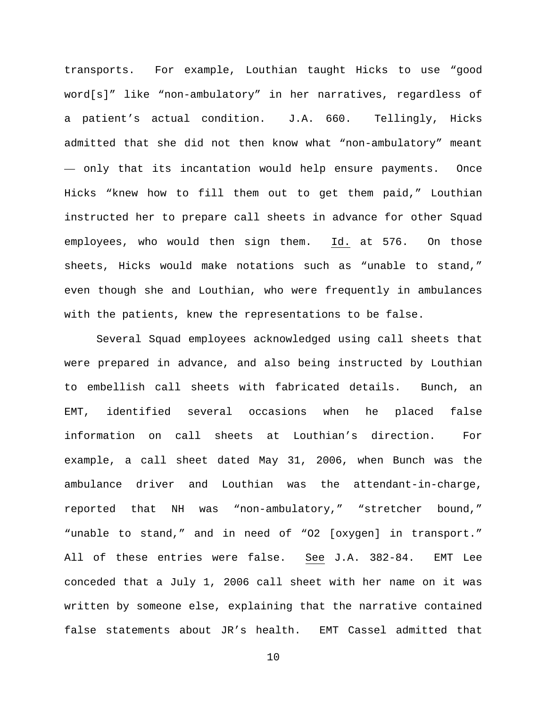transports. For example, Louthian taught Hicks to use "good word[s]" like "non-ambulatory" in her narratives, regardless of a patient's actual condition. J.A. 660. Tellingly, Hicks admitted that she did not then know what "non-ambulatory" meant — only that its incantation would help ensure payments. Once Hicks "knew how to fill them out to get them paid," Louthian instructed her to prepare call sheets in advance for other Squad employees, who would then sign them. Id. at 576. On those sheets, Hicks would make notations such as "unable to stand," even though she and Louthian, who were frequently in ambulances with the patients, knew the representations to be false.

Several Squad employees acknowledged using call sheets that were prepared in advance, and also being instructed by Louthian to embellish call sheets with fabricated details. Bunch, an EMT, identified several occasions when he placed false information on call sheets at Louthian's direction. For example, a call sheet dated May 31, 2006, when Bunch was the ambulance driver and Louthian was the attendant-in-charge, reported that NH was "non-ambulatory," "stretcher bound," "unable to stand," and in need of "O2 [oxygen] in transport." All of these entries were false. See J.A. 382-84. EMT Lee conceded that a July 1, 2006 call sheet with her name on it was written by someone else, explaining that the narrative contained false statements about JR's health. EMT Cassel admitted that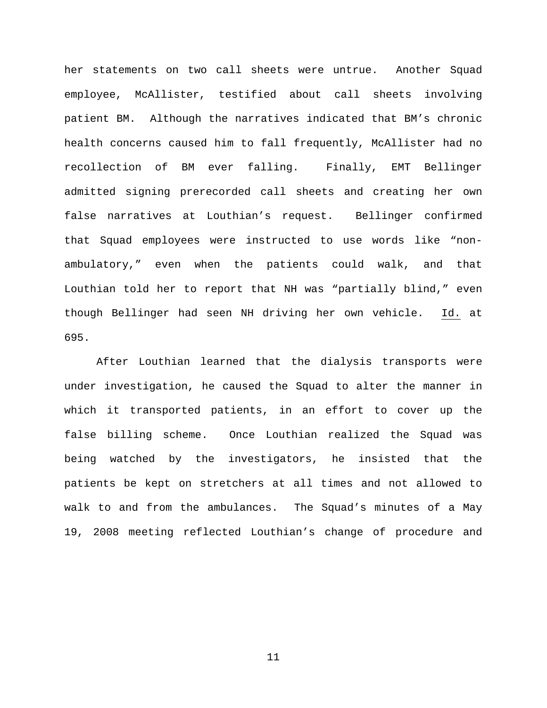her statements on two call sheets were untrue. Another Squad employee, McAllister, testified about call sheets involving patient BM. Although the narratives indicated that BM's chronic health concerns caused him to fall frequently, McAllister had no recollection of BM ever falling. Finally, EMT Bellinger admitted signing prerecorded call sheets and creating her own false narratives at Louthian's request. Bellinger confirmed that Squad employees were instructed to use words like "nonambulatory," even when the patients could walk, and that Louthian told her to report that NH was "partially blind," even though Bellinger had seen NH driving her own vehicle. Id. at 695.

After Louthian learned that the dialysis transports were under investigation, he caused the Squad to alter the manner in which it transported patients, in an effort to cover up the false billing scheme. Once Louthian realized the Squad was being watched by the investigators, he insisted that the patients be kept on stretchers at all times and not allowed to walk to and from the ambulances. The Squad's minutes of a May 19, 2008 meeting reflected Louthian's change of procedure and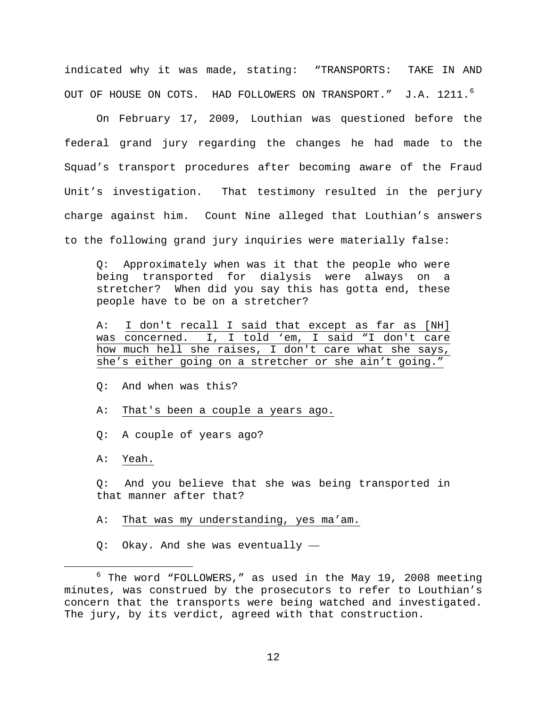indicated why it was made, stating: "TRANSPORTS: TAKE IN AND OUT OF HOUSE ON COTS. HAD FOLLOWERS ON TRANSPORT." J.A. 1211.<sup>[6](#page-11-0)</sup>

On February 17, 2009, Louthian was questioned before the federal grand jury regarding the changes he had made to the Squad's transport procedures after becoming aware of the Fraud Unit's investigation. That testimony resulted in the perjury charge against him. Count Nine alleged that Louthian's answers to the following grand jury inquiries were materially false:

Q: Approximately when was it that the people who were being transported for dialysis were always on a stretcher? When did you say this has gotta end, these people have to be on a stretcher?

A: I don't recall I said that except as far as [NH] was concerned. I, I told 'em, I said "I don't care how much hell she raises, I don't care what she says, she's either going on a stretcher or she ain't going."

Q: And when was this?

A: That's been a couple a years ago.

Q: A couple of years ago?

A: Yeah.

Q: And you believe that she was being transported in that manner after that?

A: That was my understanding, yes ma'am.

Q: Okay. And she was eventually —

<span id="page-11-0"></span> $6$  The word "FOLLOWERS," as used in the May 19, 2008 meeting minutes, was construed by the prosecutors to refer to Louthian's concern that the transports were being watched and investigated. The jury, by its verdict, agreed with that construction.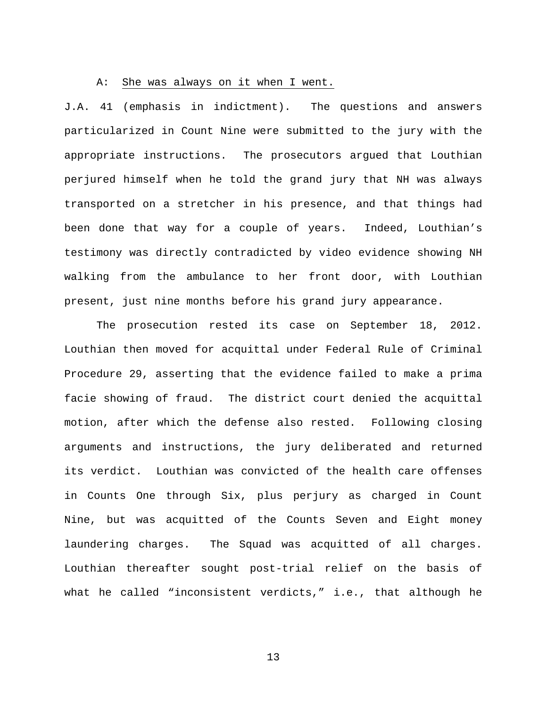## A: She was always on it when I went.

J.A. 41 (emphasis in indictment). The questions and answers particularized in Count Nine were submitted to the jury with the appropriate instructions. The prosecutors argued that Louthian perjured himself when he told the grand jury that NH was always transported on a stretcher in his presence, and that things had been done that way for a couple of years. Indeed, Louthian's testimony was directly contradicted by video evidence showing NH walking from the ambulance to her front door, with Louthian present, just nine months before his grand jury appearance.

The prosecution rested its case on September 18, 2012. Louthian then moved for acquittal under Federal Rule of Criminal Procedure 29, asserting that the evidence failed to make a prima facie showing of fraud. The district court denied the acquittal motion, after which the defense also rested. Following closing arguments and instructions, the jury deliberated and returned its verdict. Louthian was convicted of the health care offenses in Counts One through Six, plus perjury as charged in Count Nine, but was acquitted of the Counts Seven and Eight money laundering charges. The Squad was acquitted of all charges. Louthian thereafter sought post-trial relief on the basis of what he called "inconsistent verdicts," i.e., that although he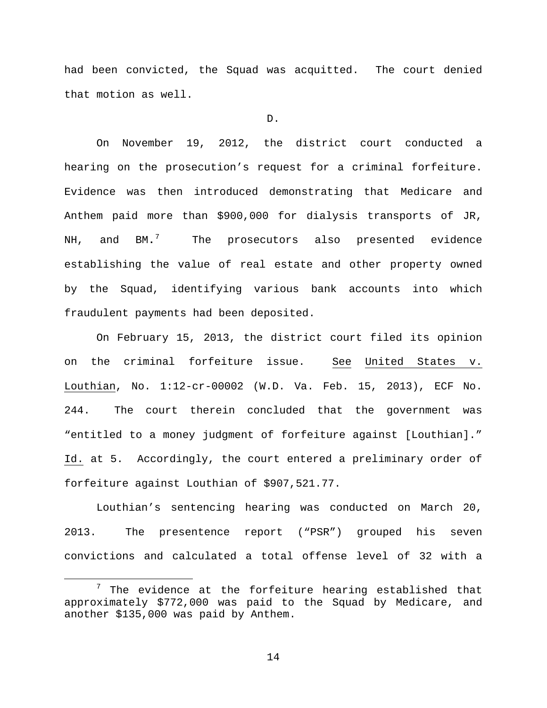had been convicted, the Squad was acquitted. The court denied that motion as well.

## D.

On November 19, 2012, the district court conducted a hearing on the prosecution's request for a criminal forfeiture. Evidence was then introduced demonstrating that Medicare and Anthem paid more than \$900,000 for dialysis transports of JR, NH, and BM**.**[7](#page-13-0) The prosecutors also presented evidence establishing the value of real estate and other property owned by the Squad, identifying various bank accounts into which fraudulent payments had been deposited.

On February 15, 2013, the district court filed its opinion on the criminal forfeiture issue. See United States v. Louthian, No. 1:12-cr-00002 (W.D. Va. Feb. 15, 2013), ECF No. 244. The court therein concluded that the government was "entitled to a money judgment of forfeiture against [Louthian]." Id. at 5. Accordingly, the court entered a preliminary order of forfeiture against Louthian of \$907,521.77.

Louthian's sentencing hearing was conducted on March 20, 2013. The presentence report ("PSR") grouped his seven convictions and calculated a total offense level of 32 with a

<span id="page-13-0"></span> $7$  The evidence at the forfeiture hearing established that approximately \$772,000 was paid to the Squad by Medicare, and another \$135,000 was paid by Anthem.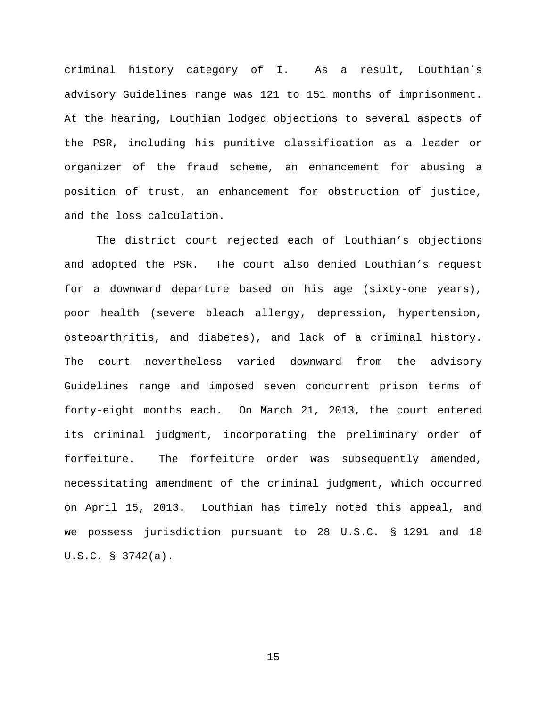criminal history category of I. As a result, Louthian's advisory Guidelines range was 121 to 151 months of imprisonment. At the hearing, Louthian lodged objections to several aspects of the PSR, including his punitive classification as a leader or organizer of the fraud scheme, an enhancement for abusing a position of trust, an enhancement for obstruction of justice, and the loss calculation.

The district court rejected each of Louthian's objections and adopted the PSR. The court also denied Louthian's request for a downward departure based on his age (sixty-one years), poor health (severe bleach allergy, depression, hypertension, osteoarthritis, and diabetes), and lack of a criminal history. The court nevertheless varied downward from the advisory Guidelines range and imposed seven concurrent prison terms of forty-eight months each. On March 21, 2013, the court entered its criminal judgment, incorporating the preliminary order of forfeiture. The forfeiture order was subsequently amended, necessitating amendment of the criminal judgment, which occurred on April 15, 2013. Louthian has timely noted this appeal, and we possess jurisdiction pursuant to 28 U.S.C. § 1291 and 18 U.S.C. § 3742(a).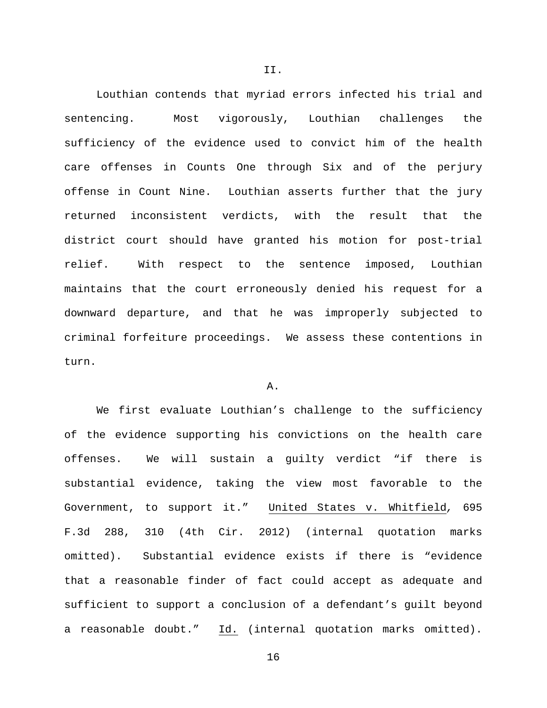Louthian contends that myriad errors infected his trial and sentencing. Most vigorously, Louthian challenges the sufficiency of the evidence used to convict him of the health care offenses in Counts One through Six and of the perjury offense in Count Nine. Louthian asserts further that the jury returned inconsistent verdicts, with the result that the district court should have granted his motion for post-trial relief. With respect to the sentence imposed, Louthian maintains that the court erroneously denied his request for a downward departure, and that he was improperly subjected to criminal forfeiture proceedings. We assess these contentions in turn.

## A.

We first evaluate Louthian's challenge to the sufficiency of the evidence supporting his convictions on the health care offenses. We will sustain a guilty verdict "if there is substantial evidence, taking the view most favorable to the Government, to support it." United States v. Whitfield*,* 695 F.3d 288, 310 (4th Cir. 2012) (internal quotation marks omitted). Substantial evidence exists if there is "evidence that a reasonable finder of fact could accept as adequate and sufficient to support a conclusion of a defendant's guilt beyond a reasonable doubt." Id. (internal quotation marks omitted).

II.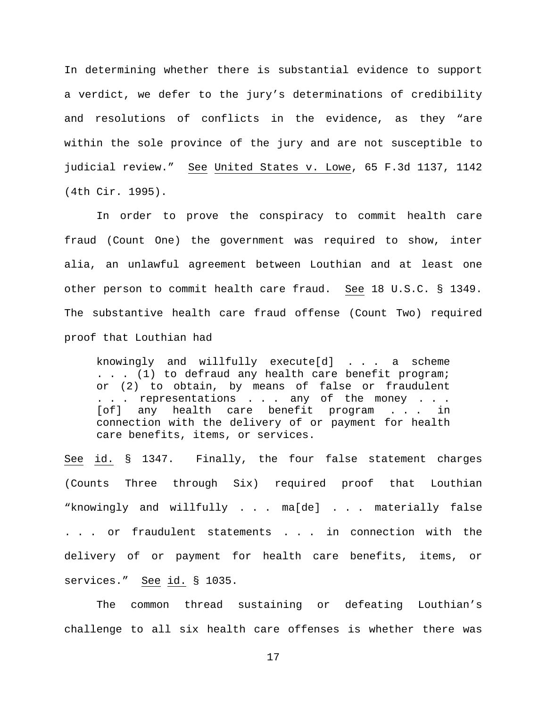In determining whether there is substantial evidence to support a verdict, we defer to the jury's determinations of credibility and resolutions of conflicts in the evidence, as they "are within the sole province of the jury and are not susceptible to judicial review." See United States v. Lowe, 65 F.3d 1137, 1142 (4th Cir. 1995).

In order to prove the conspiracy to commit health care fraud (Count One) the government was required to show, inter alia, an unlawful agreement between Louthian and at least one other person to commit health care fraud. See 18 U.S.C. § 1349. The substantive health care fraud offense (Count Two) required proof that Louthian had

knowingly and willfully execute[d] . . . a scheme . . . (1) to defraud any health care benefit program; or (2) to obtain, by means of false or fraudulent . . . representations . . . any of the money . . .<br>[of] any health care benefit program . . . in [of] any health care benefit connection with the delivery of or payment for health care benefits, items, or services.

See id. § 1347. Finally, the four false statement charges (Counts Three through Six) required proof that Louthian "knowingly and willfully . . . ma[de] . . . materially false . . . or fraudulent statements . . . in connection with the delivery of or payment for health care benefits, items, or services." See id. § 1035.

The common thread sustaining or defeating Louthian's challenge to all six health care offenses is whether there was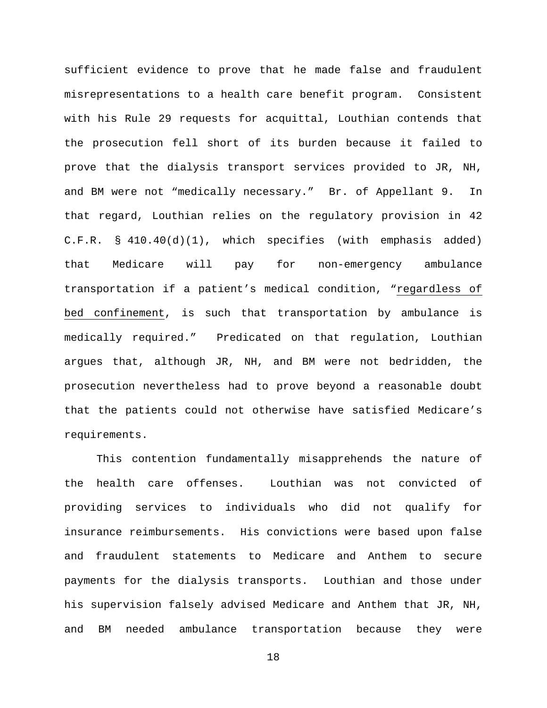sufficient evidence to prove that he made false and fraudulent misrepresentations to a health care benefit program. Consistent with his Rule 29 requests for acquittal, Louthian contends that the prosecution fell short of its burden because it failed to prove that the dialysis transport services provided to JR, NH, and BM were not "medically necessary." Br. of Appellant 9. In that regard, Louthian relies on the regulatory provision in 42 C.F.R. § 410.40(d)(1), which specifies (with emphasis added) that Medicare will pay for non-emergency ambulance transportation if a patient's medical condition, "regardless of bed confinement, is such that transportation by ambulance is medically required." Predicated on that regulation, Louthian argues that, although JR, NH, and BM were not bedridden, the prosecution nevertheless had to prove beyond a reasonable doubt that the patients could not otherwise have satisfied Medicare's requirements.

This contention fundamentally misapprehends the nature of the health care offenses. Louthian was not convicted of providing services to individuals who did not qualify for insurance reimbursements. His convictions were based upon false and fraudulent statements to Medicare and Anthem to secure payments for the dialysis transports. Louthian and those under his supervision falsely advised Medicare and Anthem that JR, NH, and BM needed ambulance transportation because they were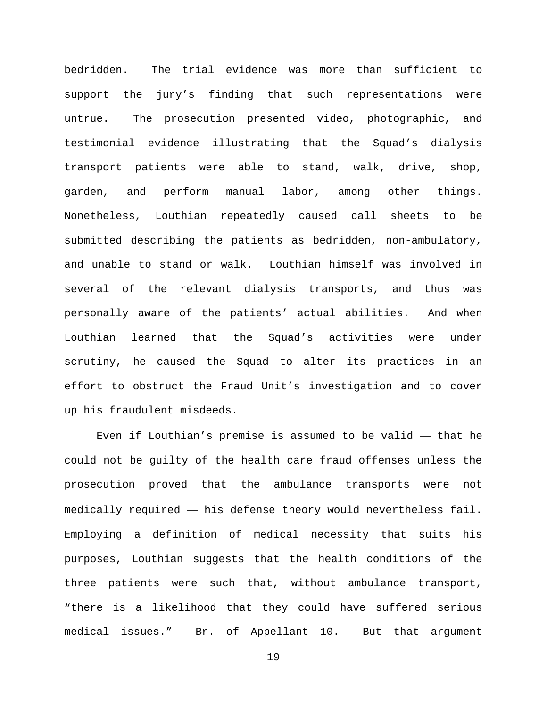bedridden. The trial evidence was more than sufficient to support the jury's finding that such representations were untrue. The prosecution presented video, photographic, and testimonial evidence illustrating that the Squad's dialysis transport patients were able to stand, walk, drive, shop, garden, and perform manual labor, among other things. Nonetheless, Louthian repeatedly caused call sheets to be submitted describing the patients as bedridden, non-ambulatory, and unable to stand or walk. Louthian himself was involved in several of the relevant dialysis transports, and thus was personally aware of the patients' actual abilities. And when Louthian learned that the Squad's activities were under scrutiny, he caused the Squad to alter its practices in an effort to obstruct the Fraud Unit's investigation and to cover up his fraudulent misdeeds.

Even if Louthian's premise is assumed to be valid — that he could not be guilty of the health care fraud offenses unless the prosecution proved that the ambulance transports were not medically required — his defense theory would nevertheless fail. Employing a definition of medical necessity that suits his purposes, Louthian suggests that the health conditions of the three patients were such that, without ambulance transport, "there is a likelihood that they could have suffered serious medical issues." Br. of Appellant 10. But that argument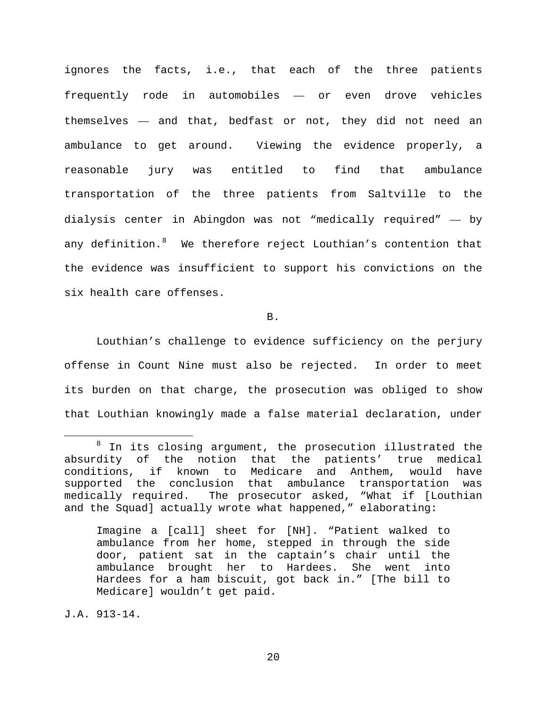ignores the facts, i.e., that each of the three patients frequently rode in automobiles — or even drove vehicles themselves — and that, bedfast or not, they did not need an ambulance to get around. Viewing the evidence properly, a reasonable jury was entitled to find that ambulance transportation of the three patients from Saltville to the dialysis center in Abingdon was not "medically required" — by any definition. $8$  We therefore reject Louthian's contention that the evidence was insufficient to support his convictions on the six health care offenses.

B.

Louthian's challenge to evidence sufficiency on the perjury offense in Count Nine must also be rejected. In order to meet its burden on that charge, the prosecution was obliged to show that Louthian knowingly made a false material declaration, under

J.A. 913-14.

<span id="page-19-0"></span> $8$  In its closing argument, the prosecution illustrated the absurdity of the notion that the patients' true medical<br>conditions, if known to Medicare and Anthem, would have conditions, if known to Medicare and Anthem, supported the conclusion that ambulance transportation was medically required. The prosecutor asked, "What if [Louthian and the Squad] actually wrote what happened," elaborating:

Imagine a [call] sheet for [NH]. "Patient walked to ambulance from her home, stepped in through the side door, patient sat in the captain's chair until the ambulance brought her to Hardees. She went into Hardees for a ham biscuit, got back in." [The bill to Medicare] wouldn't get paid.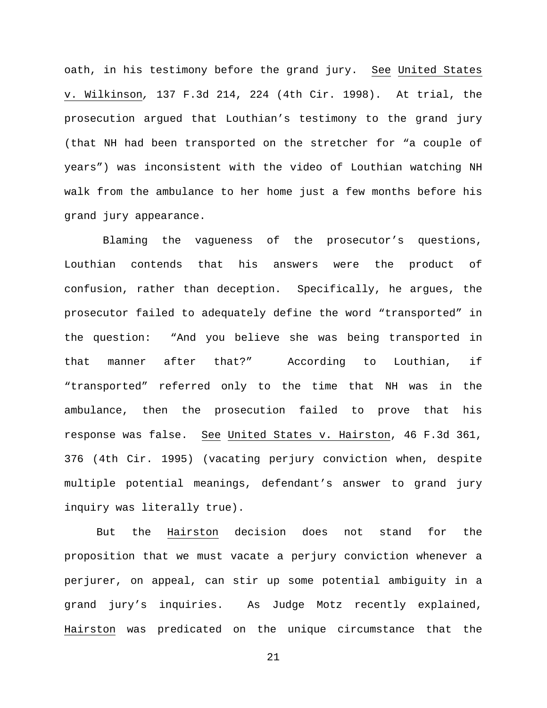oath, in his testimony before the grand jury. See United States v. Wilkinson*,* 137 F.3d 214, 224 (4th Cir. 1998). At trial, the prosecution argued that Louthian's testimony to the grand jury (that NH had been transported on the stretcher for "a couple of years") was inconsistent with the video of Louthian watching NH walk from the ambulance to her home just a few months before his grand jury appearance.

Blaming the vagueness of the prosecutor's questions, Louthian contends that his answers were the product of confusion, rather than deception. Specifically, he argues, the prosecutor failed to adequately define the word "transported" in the question: "And you believe she was being transported in that manner after that?" According to Louthian, if "transported" referred only to the time that NH was in the ambulance, then the prosecution failed to prove that his response was false. See United States v. Hairston, 46 F.3d 361, 376 (4th Cir. 1995) (vacating perjury conviction when, despite multiple potential meanings, defendant's answer to grand jury inquiry was literally true).

But the Hairston decision does not stand for the proposition that we must vacate a perjury conviction whenever a perjurer, on appeal, can stir up some potential ambiguity in a grand jury's inquiries. As Judge Motz recently explained, Hairston was predicated on the unique circumstance that the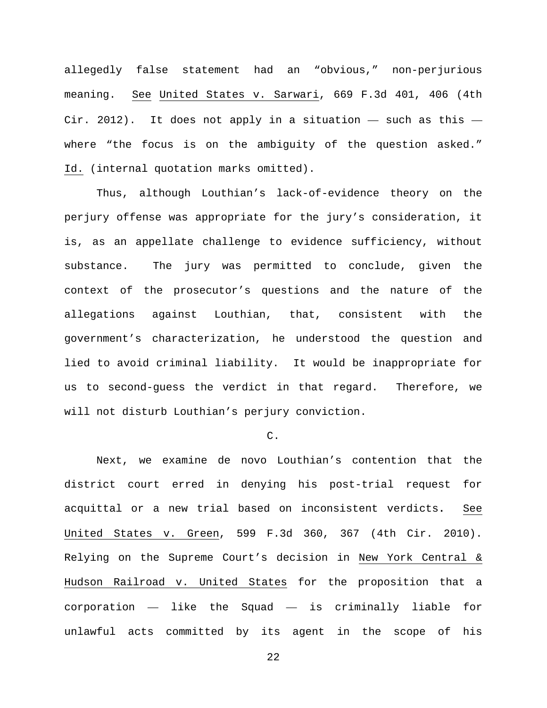allegedly false statement had an "obvious," non-perjurious meaning. See United States v. Sarwari, 669 F.3d 401, 406 (4th Cir. 2012). It does not apply in a situation  $-$  such as this  $$ where "the focus is on the ambiguity of the question asked." Id. (internal quotation marks omitted).

Thus, although Louthian's lack-of-evidence theory on the perjury offense was appropriate for the jury's consideration, it is, as an appellate challenge to evidence sufficiency, without substance. The jury was permitted to conclude, given the context of the prosecutor's questions and the nature of the allegations against Louthian, that, consistent with the government's characterization, he understood the question and lied to avoid criminal liability. It would be inappropriate for us to second-guess the verdict in that regard. Therefore, we will not disturb Louthian's perjury conviction.

## C.

Next, we examine de novo Louthian's contention that the district court erred in denying his post-trial request for acquittal or a new trial based on inconsistent verdicts**.** See United States v. Green, 599 F.3d 360, 367 (4th Cir. 2010). Relying on the Supreme Court's decision in New York Central & Hudson Railroad v. United States for the proposition that a corporation — like the Squad — is criminally liable for unlawful acts committed by its agent in the scope of his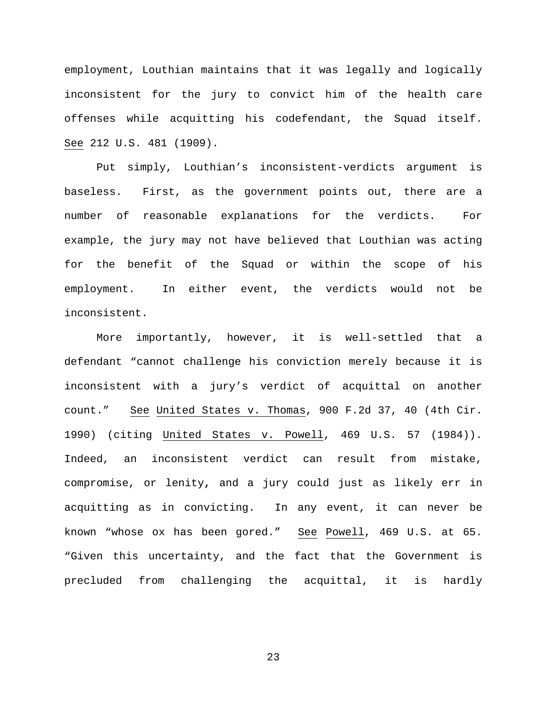employment, Louthian maintains that it was legally and logically inconsistent for the jury to convict him of the health care offenses while acquitting his codefendant, the Squad itself. See 212 U.S. 481 (1909).

Put simply, Louthian's inconsistent-verdicts argument is baseless. First, as the government points out, there are a number of reasonable explanations for the verdicts. For example, the jury may not have believed that Louthian was acting for the benefit of the Squad or within the scope of his employment. In either event, the verdicts would not be inconsistent.

More importantly, however, it is well-settled that a defendant "cannot challenge his conviction merely because it is inconsistent with a jury's verdict of acquittal on another count." See United States v. Thomas, 900 F.2d 37, 40 (4th Cir. 1990) (citing United States v. Powell, 469 U.S. 57 (1984)). Indeed, an inconsistent verdict can result from mistake, compromise, or lenity**,** and a jury could just as likely err in acquitting as in convicting. In any event, it can never be known "whose ox has been gored." See Powell, 469 U.S. at 65. "Given this uncertainty, and the fact that the Government is precluded from challenging the acquittal, it is hardly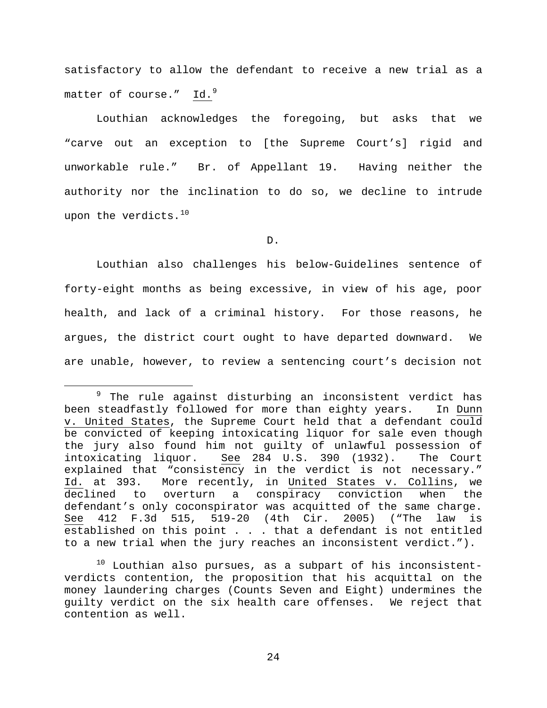satisfactory to allow the defendant to receive a new trial as a matter of course." Id.<sup>[9](#page-23-0)</sup>

Louthian acknowledges the foregoing, but asks that we "carve out an exception to [the Supreme Court's] rigid and unworkable rule." Br. of Appellant 19. Having neither the authority nor the inclination to do so, we decline to intrude upon the verdicts.<sup>10</sup>

D.

Louthian also challenges his below-Guidelines sentence of forty-eight months as being excessive, in view of his age, poor health, and lack of a criminal history. For those reasons, he argues, the district court ought to have departed downward. We are unable, however, to review a sentencing court's decision not

<span id="page-23-0"></span><sup>&</sup>lt;sup>9</sup> The rule against disturbing an inconsistent verdict has been steadfastly followed for more than eighty years. In Dunn v. United States, the Supreme Court held that a defendant could be convicted of keeping intoxicating liquor for sale even though the jury also found him not guilty of unlawful possession of<br>intoxicating liquor. See 284 U.S. 390 (1932). The Court See 284 U.S. 390 (1932). explained that "consistency in the verdict is not necessary." Id. at 393. More recently, in United States v. Collins, we declined to overturn a conspiracy conviction when the defendant's only coconspirator was acquitted of the same charge. See 412 F.3d 515, 519-20 (4th Cir. 2005) ("The law is established on this point . . . that a defendant is not entitled to a new trial when the jury reaches an inconsistent verdict.").

<span id="page-23-1"></span> $10$  Louthian also pursues, as a subpart of his inconsistentverdicts contention, the proposition that his acquittal on the money laundering charges (Counts Seven and Eight) undermines the guilty verdict on the six health care offenses. We reject that contention as well.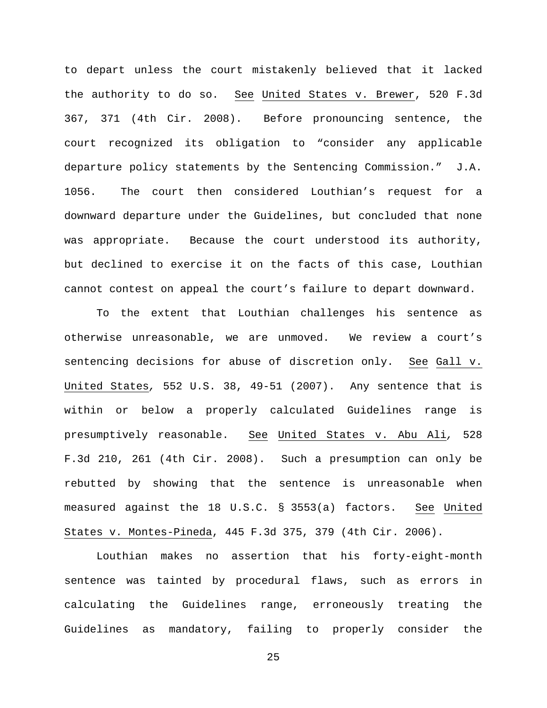to depart unless the court mistakenly believed that it lacked the authority to do so. See United States v. Brewer, 520 F.3d 367, 371 (4th Cir. 2008). Before pronouncing sentence, the court recognized its obligation to "consider any applicable departure policy statements by the Sentencing Commission." J.A. 1056. The court then considered Louthian's request for a downward departure under the Guidelines, but concluded that none was appropriate. Because the court understood its authority, but declined to exercise it on the facts of this case, Louthian cannot contest on appeal the court's failure to depart downward.

To the extent that Louthian challenges his sentence as otherwise unreasonable, we are unmoved. We review a court's sentencing decisions for abuse of discretion only. See Gall v. United States*,* 552 U.S. 38, 49-51 (2007). Any sentence that is within or below a properly calculated Guidelines range is presumptively reasonable. See United States v. Abu Ali*,* 528 F.3d 210, 261 (4th Cir. 2008). Such a presumption can only be rebutted by showing that the sentence is unreasonable when measured against the 18 U.S.C. § 3553(a) factors. See United States v. Montes-Pineda, 445 F.3d 375, 379 (4th Cir. 2006).

Louthian makes no assertion that his forty-eight-month sentence was tainted by procedural flaws, such as errors in calculating the Guidelines range, erroneously treating the Guidelines as mandatory, failing to properly consider the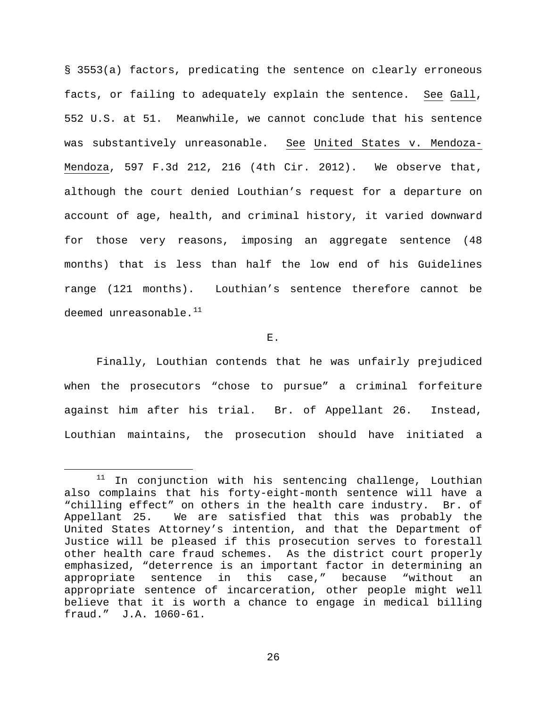§ 3553(a) factors, predicating the sentence on clearly erroneous facts, or failing to adequately explain the sentence. See Gall, 552 U.S. at 51. Meanwhile, we cannot conclude that his sentence was substantively unreasonable. See United States v. Mendoza-Mendoza, 597 F.3d 212, 216 (4th Cir. 2012). We observe that, although the court denied Louthian's request for a departure on account of age, health, and criminal history, it varied downward for those very reasons, imposing an aggregate sentence (48 months) that is less than half the low end of his Guidelines range (121 months). Louthian's sentence therefore cannot be deemed unreasonable.<sup>[11](#page-25-0)</sup>

E.

Finally, Louthian contends that he was unfairly prejudiced when the prosecutors "chose to pursue" a criminal forfeiture against him after his trial. Br. of Appellant 26. Instead, Louthian maintains, the prosecution should have initiated a

<span id="page-25-0"></span> $11$  In conjunction with his sentencing challenge, Louthian also complains that his forty-eight-month sentence will have a "chilling effect" on others in the health care industry. Br. of<br>Appellant 25. We are satisfied that this was probably the We are satisfied that this was probably the United States Attorney's intention, and that the Department of Justice will be pleased if this prosecution serves to forestall other health care fraud schemes. As the district court properly emphasized, "deterrence is an important factor in determining an appropriate sentence in this case," because "without an appropriate sentence of incarceration, other people might well believe that it is worth a chance to engage in medical billing fraud." J.A. 1060-61.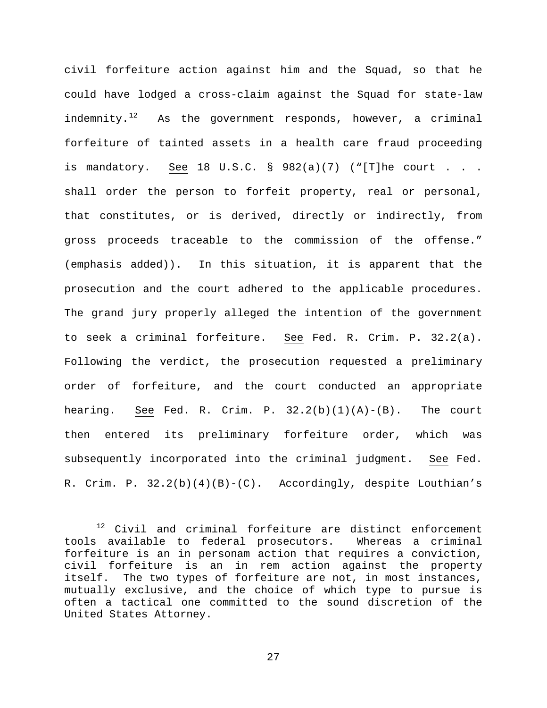civil forfeiture action against him and the Squad, so that he could have lodged a cross-claim against the Squad for state-law indemnity.<sup>[12](#page-26-0)</sup> As the government responds, however, a criminal forfeiture of tainted assets in a health care fraud proceeding is mandatory. See 18 U.S.C.  $\frac{1}{2}$  982(a)(7) ("[T]he court . . . shall order the person to forfeit property, real or personal, that constitutes, or is derived, directly or indirectly, from gross proceeds traceable to the commission of the offense." (emphasis added)). In this situation, it is apparent that the prosecution and the court adhered to the applicable procedures. The grand jury properly alleged the intention of the government to seek a criminal forfeiture. See Fed. R. Crim. P. 32.2(a). Following the verdict, the prosecution requested a preliminary order of forfeiture, and the court conducted an appropriate hearing. See Fed. R. Crim. P.  $32.2(b)(1)(A)-(B)$ . The court then entered its preliminary forfeiture order, which was subsequently incorporated into the criminal judgment. See Fed. R. Crim. P. 32.2(b)(4)(B)-(C). Accordingly, despite Louthian's

<span id="page-26-0"></span> <sup>12</sup> Civil and criminal forfeiture are distinct enforcement tools available to federal prosecutors. Whereas a criminal forfeiture is an in personam action that requires a conviction, civil forfeiture is an in rem action against the property itself. The two types of forfeiture are not, in most instances, mutually exclusive, and the choice of which type to pursue is often a tactical one committed to the sound discretion of the United States Attorney.